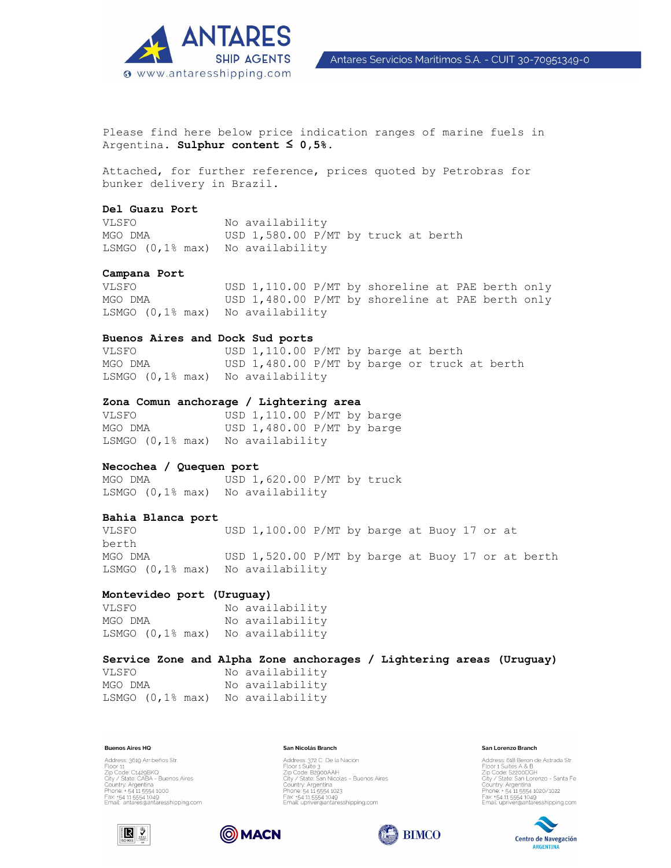

Antares Servicios Maritimos S.A. - CUIT 30-70951349-0

Please find here below price indication ranges of marine fuels in Argentina. **Sulphur content ≤ 0,5%.** 

Attached, for further reference, prices quoted by Petrobras for bunker delivery in Brazil.

# **Del Guazu Port**

VLSFO No availability MGO DMA USD 1,580.00 P/MT by truck at berth LSMGO (0,1% max) No availability

## **Campana Port**

VLSFO USD 1,110.00 P/MT by shoreline at PAE berth only MGO DMA USD 1,480.00 P/MT by shoreline at PAE berth only LSMGO (0,1% max) No availability

# **Buenos Aires and Dock Sud ports**

VLSFO USD 1,110.00 P/MT by barge at berth MGO DMA USD 1,480.00 P/MT by barge or truck at berth LSMGO (0,1% max) No availability

# **Zona Comun anchorage / Lightering area**

VLSFO USD 1, 110.00 P/MT by barge MGO DMA USD 1,480.00 P/MT by barge LSMGO (0,1% max) No availability

# **Necochea / Quequen port**

MGO DMA USD 1,620.00 P/MT by truck LSMGO (0,1% max) No availability

# **Bahia Blanca port**

VLSFO USD 1,100.00 P/MT by barge at Buoy 17 or at berth MGO DMA USD 1,520.00 P/MT by barge at Buoy 17 or at berth LSMGO (0,1% max) No availability

## **Montevideo port (Uruguay)**

VLSFO No availability MGO DMA No availability LSMGO (0,1% max) No availability

# **Service Zone and Alpha Zone anchorages / Lightering areas (Uruguay)**

VLSFO No availability MGO DMA No availability LSMGO (0,1% max) No availability

### **Buenos Aires HQ**

Address: 3619 Arribeños Str. Nutress, 3019 Armenius 311.<br>Eloor 11<br>Zip Code: C1429BKO<br>Cuntry: Argentina<br>Phone: +54 11 5554 1000<br>Phone: +54 11 5554 1000 Fax: +54 11 5554 1049<br>Email: antares@antaresshipping.com

### San Nicolás Branch

Address: 372 C. De la Nación<br>Floor 1 Suite 3<br>Zip Code: B2900AAH<br>City / State: San Nicolas - Buenos Aires Country: Argentina<br>Phone: 54 11 5554 1023 Fax: +54 11 5554 1049<br>Email: upriver@antaresshipping.com

#### San Lorenzo Branch

Address: 618 Beron de Astrada Str.<br>Floor 1 Suites A & B<br>Zip Code: Sz200DGH<br>City / State. San Lorenzo - Santa Fe<br>City / State. San Lorenzo - Santa Fe<br>Phone: + 54 11 5554 1020/1022 Fax: +54 11 5554 1049<br>Email: upriver@antaresshipping.com







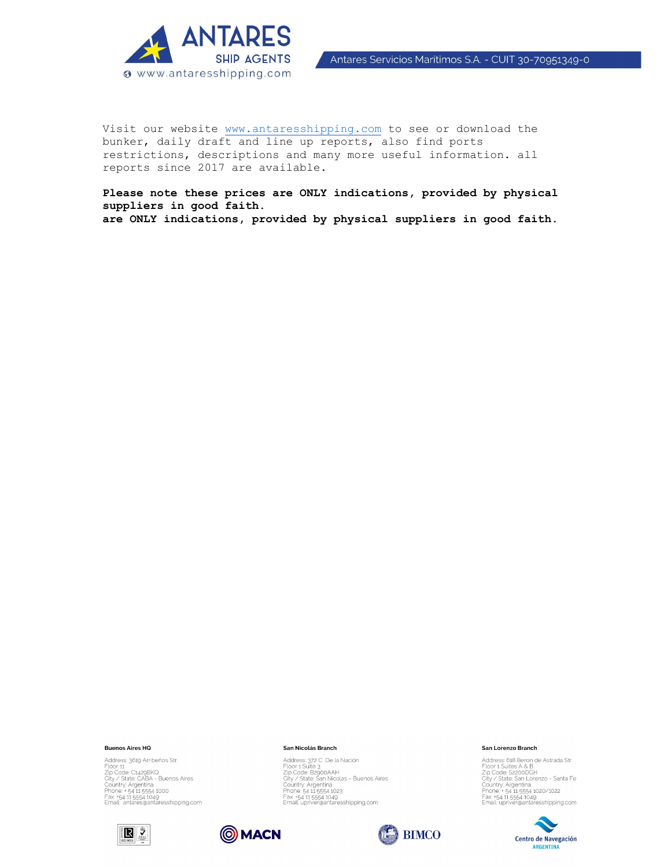

Visit our website www.antaresshipping.com to see or download the bunker, daily draft and line up reports, also find ports restrictions, descriptions and many more useful information. all reports since 2017 are available.

**Please note these prices are ONLY indications, provided by physical suppliers in good faith. are ONLY indications, provided by physical suppliers in good faith.** 

#### **Buenos Aires HQ**

Address: 3619 Arribeños Str. Address: 3619 Arribenos Str.<br>Floor 11<br>Zip Code: C1.429BK0<br>City / State: CABA - Buenos Aires<br>Country: Argentina<br>Panne: + 54 11.5554 1049<br>Frax: +54 11.5554 1049<br>Email: antares@antaresshipping.com





**OMACN** 

Address: 372 C De la Nación<br>Floor 1 Suite 3<br>Zip Code: B2900AAH<br>City / State San Nicolas – Buenos Aires<br>Country: Argentina<br>Phone: 54 11 5554 1049<br>Frax: +54 11 5554 1049<br>Email: upriver@antaresshipping.com



#### San Lorenzo Branch

Address: 618 Beron de Astrada Str.<br>
Address: 618 Beron de Astrada Str.<br>
Zip Code: S2200DGH<br>
City / State San Lorenzo - Santa Fe<br>
Country. Argentina<br>
Phone. - 54 11 5554 1020/1022<br>
Frax. -54 11 5554 1029<br>
Email: upriver@ant